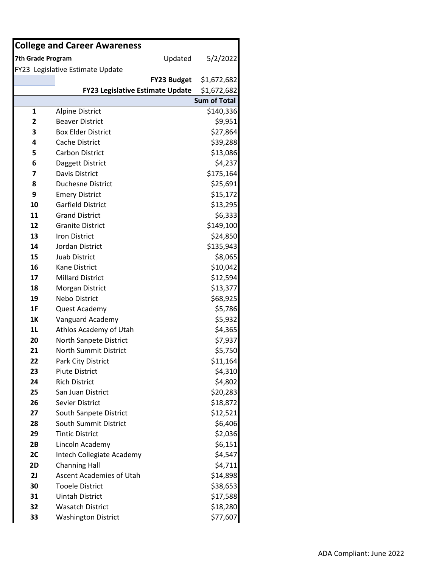| <b>College and Career Awareness</b> |                                         |                     |  |  |  |
|-------------------------------------|-----------------------------------------|---------------------|--|--|--|
| 7th Grade Program                   | Updated                                 | 5/2/2022            |  |  |  |
|                                     | FY23 Legislative Estimate Update        |                     |  |  |  |
|                                     | <b>FY23 Budget</b>                      | \$1,672,682         |  |  |  |
|                                     | <b>FY23 Legislative Estimate Update</b> | \$1,672,682         |  |  |  |
|                                     |                                         | <b>Sum of Total</b> |  |  |  |
| 1                                   | <b>Alpine District</b>                  | \$140,336           |  |  |  |
| $\overline{2}$                      | <b>Beaver District</b>                  | \$9,951             |  |  |  |
| 3                                   | <b>Box Elder District</b>               | \$27,864            |  |  |  |
| 4                                   | Cache District                          | \$39,288            |  |  |  |
| 5                                   | <b>Carbon District</b>                  | \$13,086            |  |  |  |
| 6                                   | Daggett District                        | \$4,237             |  |  |  |
| 7                                   | Davis District                          | \$175,164           |  |  |  |
| 8                                   | <b>Duchesne District</b>                | \$25,691            |  |  |  |
| 9                                   | <b>Emery District</b>                   | \$15,172            |  |  |  |
| 10                                  | <b>Garfield District</b>                | \$13,295            |  |  |  |
| 11                                  | <b>Grand District</b>                   | \$6,333             |  |  |  |
| 12                                  | <b>Granite District</b>                 | \$149,100           |  |  |  |
| 13                                  | <b>Iron District</b>                    | \$24,850            |  |  |  |
| 14                                  | <b>Jordan District</b>                  | \$135,943           |  |  |  |
| 15                                  | <b>Juab District</b>                    | \$8,065             |  |  |  |
| 16                                  | <b>Kane District</b>                    | \$10,042            |  |  |  |
| 17                                  | <b>Millard District</b>                 | \$12,594            |  |  |  |
| 18                                  | Morgan District                         | \$13,377            |  |  |  |
| 19                                  | Nebo District                           | \$68,925            |  |  |  |
| 1F                                  | Quest Academy                           | \$5,786             |  |  |  |
| 1K                                  | Vanguard Academy                        | \$5,932             |  |  |  |
| 1 <sub>L</sub>                      | Athlos Academy of Utah                  | \$4,365             |  |  |  |
| 20                                  | North Sanpete District                  | \$7,937             |  |  |  |
| 21                                  | <b>North Summit District</b>            | \$5,750             |  |  |  |
| 22                                  | Park City District                      | \$11,164            |  |  |  |
| 23                                  | <b>Piute District</b>                   | \$4,310             |  |  |  |
| 24                                  | <b>Rich District</b>                    | \$4,802             |  |  |  |
| 25                                  | San Juan District                       | \$20,283            |  |  |  |
| 26                                  | <b>Sevier District</b>                  | \$18,872            |  |  |  |
| 27                                  | South Sanpete District                  | \$12,521            |  |  |  |
| 28                                  | South Summit District                   | \$6,406             |  |  |  |
| 29                                  | <b>Tintic District</b>                  | \$2,036             |  |  |  |
| 2B                                  | Lincoln Academy                         | \$6,151             |  |  |  |
| 2C                                  | Intech Collegiate Academy               | \$4,547             |  |  |  |
| 2D                                  | <b>Channing Hall</b>                    | \$4,711             |  |  |  |
| 2J                                  | <b>Ascent Academies of Utah</b>         | \$14,898            |  |  |  |
| 30                                  | <b>Tooele District</b>                  | \$38,653            |  |  |  |
| 31                                  | <b>Uintah District</b>                  | \$17,588            |  |  |  |
| 32                                  | <b>Wasatch District</b>                 | \$18,280            |  |  |  |
| 33                                  | <b>Washington District</b>              | \$77,607            |  |  |  |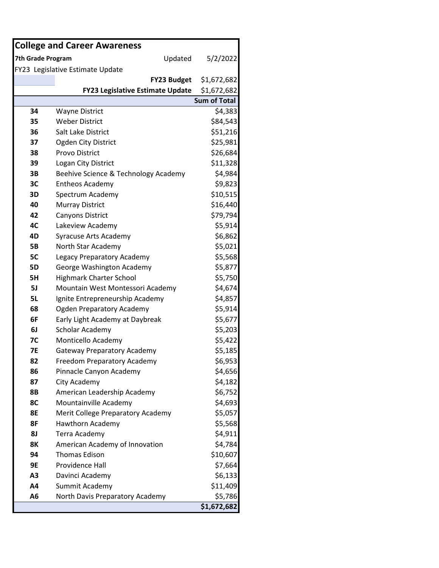|                   | <b>College and Career Awareness</b>     |                         |
|-------------------|-----------------------------------------|-------------------------|
| 7th Grade Program | Updated                                 | 5/2/2022                |
|                   | FY23 Legislative Estimate Update        |                         |
|                   | <b>FY23 Budget</b>                      | \$1,672,682             |
|                   | <b>FY23 Legislative Estimate Update</b> | \$1,672,682             |
|                   |                                         | <b>Sum of Total</b>     |
| 34                | <b>Wayne District</b>                   | \$4,383                 |
| 35                | <b>Weber District</b>                   | \$84,543                |
| 36                | Salt Lake District                      | \$51,216                |
| 37                | Ogden City District                     | \$25,981                |
| 38                | Provo District                          | \$26,684                |
| 39                | Logan City District                     | \$11,328                |
| 3B                | Beehive Science & Technology Academy    | \$4,984                 |
| 3C                | <b>Entheos Academy</b>                  | \$9,823                 |
| 3D                | Spectrum Academy                        | \$10,515                |
| 40                | <b>Murray District</b>                  | \$16,440                |
| 42                | Canyons District                        | \$79,794                |
| 4C                | Lakeview Academy                        | \$5,914                 |
| 4D                | Syracuse Arts Academy                   | \$6,862                 |
| <b>5B</b>         | North Star Academy                      | \$5,021                 |
| 5C                | Legacy Preparatory Academy              | \$5,568                 |
| <b>5D</b>         | George Washington Academy               | \$5,877                 |
| 5H                | <b>Highmark Charter School</b>          | \$5,750                 |
| 5J                | Mountain West Montessori Academy        | \$4,674                 |
| <b>5L</b>         | Ignite Entrepreneurship Academy         | \$4,857                 |
| 68                | <b>Ogden Preparatory Academy</b>        | \$5,914                 |
| 6F                | Early Light Academy at Daybreak         | \$5,677                 |
| 6J                | Scholar Academy                         | \$5,203                 |
| <b>7C</b>         | Monticello Academy                      | \$5,422                 |
| <b>7E</b>         | <b>Gateway Preparatory Academy</b>      | \$5,185                 |
| 82                | Freedom Preparatory Academy             | \$6,953                 |
| 86                | Pinnacle Canyon Academy                 | \$4,656                 |
| 87                | City Academy                            | \$4,182                 |
| <b>8B</b>         | American Leadership Academy             | \$6,752                 |
| 8C                | Mountainville Academy                   | \$4,693                 |
| 8E                | Merit College Preparatory Academy       | \$5,057                 |
| 8F                | <b>Hawthorn Academy</b>                 | \$5,568                 |
| <b>8J</b>         | Terra Academy                           | \$4,911                 |
| <b>8K</b>         | American Academy of Innovation          | \$4,784                 |
| 94                | <b>Thomas Edison</b>                    | \$10,607                |
| 9E                | Providence Hall                         | \$7,664                 |
| A <sub>3</sub>    | Davinci Academy                         | \$6,133                 |
| A4                | Summit Academy                          | \$11,409                |
| A6                | North Davis Preparatory Academy         | \$5,786                 |
|                   |                                         | $\overline{51,672,682}$ |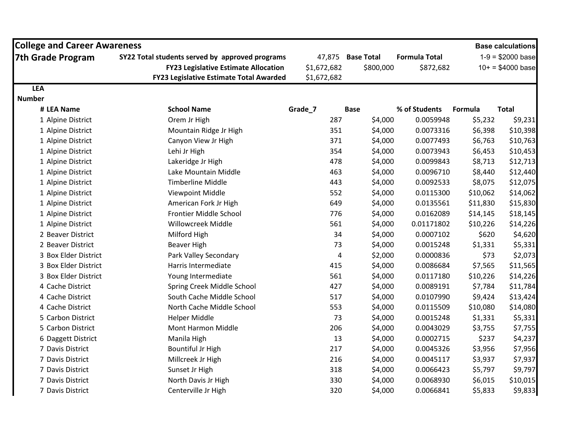| <b>College and Career Awareness</b> |                                                 |             |                   |                      |          | <b>Base calculations</b>   |
|-------------------------------------|-------------------------------------------------|-------------|-------------------|----------------------|----------|----------------------------|
| <b>7th Grade Program</b>            | SY22 Total students served by approved programs |             | 47,875 Base Total | <b>Formula Total</b> |          | $1-9 = $2000 \text{ base}$ |
|                                     | <b>FY23 Legislative Estimate Allocation</b>     | \$1,672,682 | \$800,000         | \$872,682            |          | $10+ = $4000 \text{ base}$ |
|                                     | <b>FY23 Legislative Estimate Total Awarded</b>  | \$1,672,682 |                   |                      |          |                            |
| <b>LEA</b>                          |                                                 |             |                   |                      |          |                            |
| <b>Number</b>                       |                                                 |             |                   |                      |          |                            |
| # LEA Name                          | <b>School Name</b>                              | Grade_7     | <b>Base</b>       | % of Students        | Formula  | <b>Total</b>               |
| 1 Alpine District                   | Orem Jr High                                    | 287         | \$4,000           | 0.0059948            | \$5,232  | \$9,231                    |
| 1 Alpine District                   | Mountain Ridge Jr High                          | 351         | \$4,000           | 0.0073316            | \$6,398  | \$10,398                   |
| 1 Alpine District                   | Canyon View Jr High                             | 371         | \$4,000           | 0.0077493            | \$6,763  | \$10,763                   |
| 1 Alpine District                   | Lehi Jr High                                    | 354         | \$4,000           | 0.0073943            | \$6,453  | \$10,453                   |
| 1 Alpine District                   | Lakeridge Jr High                               | 478         | \$4,000           | 0.0099843            | \$8,713  | \$12,713                   |
| 1 Alpine District                   | Lake Mountain Middle                            | 463         | \$4,000           | 0.0096710            | \$8,440  | \$12,440                   |
| 1 Alpine District                   | <b>Timberline Middle</b>                        | 443         | \$4,000           | 0.0092533            | \$8,075  | \$12,075                   |
| 1 Alpine District                   | Viewpoint Middle                                | 552         | \$4,000           | 0.0115300            | \$10,062 | \$14,062                   |
| 1 Alpine District                   | American Fork Jr High                           | 649         | \$4,000           | 0.0135561            | \$11,830 | \$15,830                   |
| 1 Alpine District                   | Frontier Middle School                          | 776         | \$4,000           | 0.0162089            | \$14,145 | \$18,145                   |
| 1 Alpine District                   | Willowcreek Middle                              | 561         | \$4,000           | 0.01171802           | \$10,226 | \$14,226                   |
| 2 Beaver District                   | Milford High                                    | 34          | \$4,000           | 0.0007102            | \$620    | \$4,620                    |
| 2 Beaver District                   | Beaver High                                     | 73          | \$4,000           | 0.0015248            | \$1,331  | \$5,331                    |
| 3 Box Elder District                | Park Valley Secondary                           | 4           | \$2,000           | 0.0000836            | \$73     | \$2,073                    |
| 3 Box Elder District                | Harris Intermediate                             | 415         | \$4,000           | 0.0086684            | \$7,565  | \$11,565                   |
| 3 Box Elder District                | Young Intermediate                              | 561         | \$4,000           | 0.0117180            | \$10,226 | \$14,226                   |
| 4 Cache District                    | Spring Creek Middle School                      | 427         | \$4,000           | 0.0089191            | \$7,784  | \$11,784                   |
| 4 Cache District                    | South Cache Middle School                       | 517         | \$4,000           | 0.0107990            | \$9,424  | \$13,424                   |
| 4 Cache District                    | North Cache Middle School                       | 553         | \$4,000           | 0.0115509            | \$10,080 | \$14,080                   |
| 5 Carbon District                   | <b>Helper Middle</b>                            | 73          | \$4,000           | 0.0015248            | \$1,331  | \$5,331                    |
| 5 Carbon District                   | Mont Harmon Middle                              | 206         | \$4,000           | 0.0043029            | \$3,755  | \$7,755                    |
| 6 Daggett District                  | Manila High                                     | 13          | \$4,000           | 0.0002715            | \$237    | \$4,237                    |
| 7 Davis District                    | <b>Bountiful Jr High</b>                        | 217         | \$4,000           | 0.0045326            | \$3,956  | \$7,956                    |
| 7 Davis District                    | Millcreek Jr High                               | 216         | \$4,000           | 0.0045117            | \$3,937  | \$7,937                    |
| 7 Davis District                    | Sunset Jr High                                  | 318         | \$4,000           | 0.0066423            | \$5,797  | \$9,797                    |
| 7 Davis District                    | North Davis Jr High                             | 330         | \$4,000           | 0.0068930            | \$6,015  | \$10,015                   |
| 7 Davis District                    | Centerville Jr High                             | 320         | \$4,000           | 0.0066841            | \$5,833  | \$9,833                    |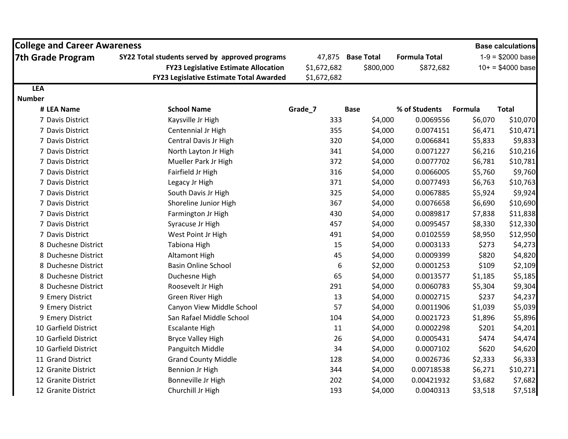| <b>College and Career Awareness</b> |                                                 |             |                   |                      |         | <b>Base calculations</b>   |
|-------------------------------------|-------------------------------------------------|-------------|-------------------|----------------------|---------|----------------------------|
| <b>7th Grade Program</b>            | SY22 Total students served by approved programs | 47,875      | <b>Base Total</b> | <b>Formula Total</b> |         | $1-9 = $2000 \text{ base}$ |
|                                     | <b>FY23 Legislative Estimate Allocation</b>     | \$1,672,682 | \$800,000         | \$872,682            |         | $10+ = $4000$ base         |
|                                     | <b>FY23 Legislative Estimate Total Awarded</b>  | \$1,672,682 |                   |                      |         |                            |
| <b>LEA</b>                          |                                                 |             |                   |                      |         |                            |
| <b>Number</b>                       |                                                 |             |                   |                      |         |                            |
| # LEA Name                          | <b>School Name</b>                              | Grade_7     | <b>Base</b>       | % of Students        | Formula | <b>Total</b>               |
| 7 Davis District                    | Kaysville Jr High                               | 333         | \$4,000           | 0.0069556            | \$6,070 | \$10,070                   |
| 7 Davis District                    | Centennial Jr High                              | 355         | \$4,000           | 0.0074151            | \$6,471 | \$10,471                   |
| 7 Davis District                    | Central Davis Jr High                           | 320         | \$4,000           | 0.0066841            | \$5,833 | \$9,833                    |
| 7 Davis District                    | North Layton Jr High                            | 341         | \$4,000           | 0.0071227            | \$6,216 | \$10,216                   |
| 7 Davis District                    | Mueller Park Jr High                            | 372         | \$4,000           | 0.0077702            | \$6,781 | \$10,781                   |
| 7 Davis District                    | Fairfield Jr High                               | 316         | \$4,000           | 0.0066005            | \$5,760 | \$9,760                    |
| 7 Davis District                    | Legacy Jr High                                  | 371         | \$4,000           | 0.0077493            | \$6,763 | \$10,763                   |
| 7 Davis District                    | South Davis Jr High                             | 325         | \$4,000           | 0.0067885            | \$5,924 | \$9,924                    |
| 7 Davis District                    | Shoreline Junior High                           | 367         | \$4,000           | 0.0076658            | \$6,690 | \$10,690                   |
| 7 Davis District                    | Farmington Jr High                              | 430         | \$4,000           | 0.0089817            | \$7,838 | \$11,838                   |
| 7 Davis District                    | Syracuse Jr High                                | 457         | \$4,000           | 0.0095457            | \$8,330 | \$12,330                   |
| 7 Davis District                    | West Point Jr High                              | 491         | \$4,000           | 0.0102559            | \$8,950 | \$12,950                   |
| 8 Duchesne District                 | <b>Tabiona High</b>                             | 15          | \$4,000           | 0.0003133            | \$273   | \$4,273                    |
| 8 Duchesne District                 | <b>Altamont High</b>                            | 45          | \$4,000           | 0.0009399            | \$820   | \$4,820                    |
| 8 Duchesne District                 | <b>Basin Online School</b>                      | 6           | \$2,000           | 0.0001253            | \$109   | \$2,109                    |
| 8 Duchesne District                 | Duchesne High                                   | 65          | \$4,000           | 0.0013577            | \$1,185 | \$5,185                    |
| 8 Duchesne District                 | Roosevelt Jr High                               | 291         | \$4,000           | 0.0060783            | \$5,304 | \$9,304                    |
| 9 Emery District                    | Green River High                                | 13          | \$4,000           | 0.0002715            | \$237   | \$4,237                    |
| 9 Emery District                    | Canyon View Middle School                       | 57          | \$4,000           | 0.0011906            | \$1,039 | \$5,039                    |
| 9 Emery District                    | San Rafael Middle School                        | 104         | \$4,000           | 0.0021723            | \$1,896 | \$5,896                    |
| 10 Garfield District                | <b>Escalante High</b>                           | 11          | \$4,000           | 0.0002298            | \$201   | \$4,201                    |
| 10 Garfield District                | <b>Bryce Valley High</b>                        | 26          | \$4,000           | 0.0005431            | \$474   | \$4,474                    |
| 10 Garfield District                | Panguitch Middle                                | 34          | \$4,000           | 0.0007102            | \$620   | \$4,620                    |
| 11 Grand District                   | <b>Grand County Middle</b>                      | 128         | \$4,000           | 0.0026736            | \$2,333 | \$6,333                    |
| 12 Granite District                 | Bennion Jr High                                 | 344         | \$4,000           | 0.00718538           | \$6,271 | \$10,271                   |
| 12 Granite District                 | Bonneville Jr High                              | 202         | \$4,000           | 0.00421932           | \$3,682 | \$7,682                    |
| 12 Granite District                 | Churchill Jr High                               | 193         | \$4,000           | 0.0040313            | \$3,518 | \$7,518                    |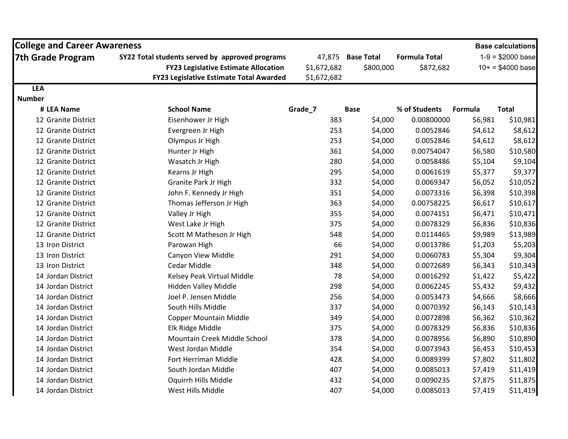| <b>College and Career Awareness</b> |                                                                                                                                                  |                                      |                                |                                   |         | <b>Base calculations</b>                                 |
|-------------------------------------|--------------------------------------------------------------------------------------------------------------------------------------------------|--------------------------------------|--------------------------------|-----------------------------------|---------|----------------------------------------------------------|
| <b>7th Grade Program</b>            | SY22 Total students served by approved programs<br><b>FY23 Legislative Estimate Allocation</b><br><b>FY23 Legislative Estimate Total Awarded</b> | 47,875<br>\$1,672,682<br>\$1,672,682 | <b>Base Total</b><br>\$800,000 | <b>Formula Total</b><br>\$872,682 |         | $1-9 = $2000 \text{ base}$<br>$10+ = $4000 \text{ base}$ |
| <b>LEA</b>                          |                                                                                                                                                  |                                      |                                |                                   |         |                                                          |
| <b>Number</b>                       |                                                                                                                                                  |                                      |                                |                                   |         |                                                          |
| # LEA Name                          | <b>School Name</b>                                                                                                                               | Grade_7                              | <b>Base</b>                    | % of Students                     | Formula | <b>Total</b>                                             |
| 12 Granite District                 | Eisenhower Jr High                                                                                                                               | 383                                  | \$4,000                        | 0.00800000                        | \$6,981 | \$10,981                                                 |
| 12 Granite District                 | Evergreen Jr High                                                                                                                                | 253                                  | \$4,000                        | 0.0052846                         | \$4,612 | \$8,612                                                  |
| 12 Granite District                 | Olympus Jr High                                                                                                                                  | 253                                  | \$4,000                        | 0.0052846                         | \$4,612 | \$8,612                                                  |
| 12 Granite District                 | Hunter Jr High                                                                                                                                   | 361                                  | \$4,000                        | 0.00754047                        | \$6,580 | \$10,580                                                 |
| 12 Granite District                 | Wasatch Jr High                                                                                                                                  | 280                                  | \$4,000                        | 0.0058486                         | \$5,104 | \$9,104                                                  |
| 12 Granite District                 | Kearns Jr High                                                                                                                                   | 295                                  | \$4,000                        | 0.0061619                         | \$5,377 | \$9,377                                                  |
| 12 Granite District                 | Granite Park Jr High                                                                                                                             | 332                                  | \$4,000                        | 0.0069347                         | \$6,052 | \$10,052                                                 |
| 12 Granite District                 | John F. Kennedy Jr High                                                                                                                          | 351                                  | \$4,000                        | 0.0073316                         | \$6,398 | \$10,398                                                 |
| 12 Granite District                 | Thomas Jefferson Jr High                                                                                                                         | 363                                  | \$4,000                        | 0.00758225                        | \$6,617 | \$10,617                                                 |
| 12 Granite District                 | Valley Jr High                                                                                                                                   | 355                                  | \$4,000                        | 0.0074151                         | \$6,471 | \$10,471                                                 |
| 12 Granite District                 | West Lake Jr High                                                                                                                                | 375                                  | \$4,000                        | 0.0078329                         | \$6,836 | \$10,836                                                 |
| 12 Granite District                 | Scott M Matheson Jr High                                                                                                                         | 548                                  | \$4,000                        | 0.0114465                         | \$9,989 | \$13,989                                                 |
| 13 Iron District                    | Parowan High                                                                                                                                     | 66                                   | \$4,000                        | 0.0013786                         | \$1,203 | \$5,203                                                  |
| 13 Iron District                    | Canyon View Middle                                                                                                                               | 291                                  | \$4,000                        | 0.0060783                         | \$5,304 | \$9,304                                                  |
| 13 Iron District                    | Cedar Middle                                                                                                                                     | 348                                  | \$4,000                        | 0.0072689                         | \$6,343 | \$10,343                                                 |
| 14 Jordan District                  | Kelsey Peak Virtual Middle                                                                                                                       | 78                                   | \$4,000                        | 0.0016292                         | \$1,422 | \$5,422                                                  |
| 14 Jordan District                  | Hidden Valley Middle                                                                                                                             | 298                                  | \$4,000                        | 0.0062245                         | \$5,432 | \$9,432                                                  |
| 14 Jordan District                  | Joel P. Jensen Middle                                                                                                                            | 256                                  | \$4,000                        | 0.0053473                         | \$4,666 | \$8,666                                                  |
| 14 Jordan District                  | South Hills Middle                                                                                                                               | 337                                  | \$4,000                        | 0.0070392                         | \$6,143 | \$10,143                                                 |
| 14 Jordan District                  | <b>Copper Mountain Middle</b>                                                                                                                    | 349                                  | \$4,000                        | 0.0072898                         | \$6,362 | \$10,362                                                 |
| 14 Jordan District                  | Elk Ridge Middle                                                                                                                                 | 375                                  | \$4,000                        | 0.0078329                         | \$6,836 | \$10,836                                                 |
| 14 Jordan District                  | Mountain Creek Middle School                                                                                                                     | 378                                  | \$4,000                        | 0.0078956                         | \$6,890 | \$10,890                                                 |
| 14 Jordan District                  | West Jordan Middle                                                                                                                               | 354                                  | \$4,000                        | 0.0073943                         | \$6,453 | \$10,453                                                 |
| 14 Jordan District                  | Fort Herriman Middle                                                                                                                             | 428                                  | \$4,000                        | 0.0089399                         | \$7,802 | \$11,802                                                 |
| 14 Jordan District                  | South Jordan Middle                                                                                                                              | 407                                  | \$4,000                        | 0.0085013                         | \$7,419 | \$11,419                                                 |
| 14 Jordan District                  | Oquirrh Hills Middle                                                                                                                             | 432                                  | \$4,000                        | 0.0090235                         | \$7,875 | \$11,875                                                 |
| 14 Jordan District                  | West Hills Middle                                                                                                                                | 407                                  | \$4,000                        | 0.0085013                         | \$7,419 | \$11,419                                                 |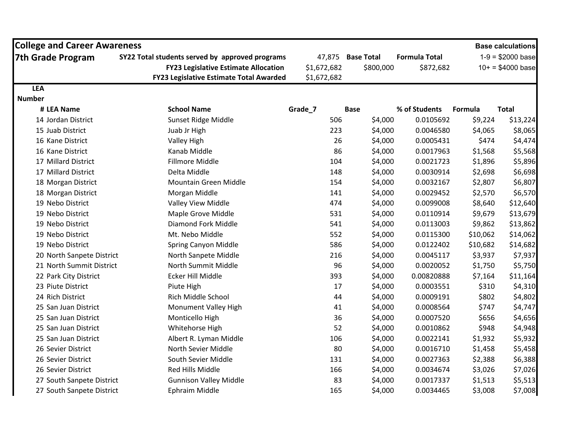| <b>College and Career Awareness</b> |                                                 |             |                   |                      |          | <b>Base calculations</b>   |
|-------------------------------------|-------------------------------------------------|-------------|-------------------|----------------------|----------|----------------------------|
| <b>7th Grade Program</b>            | SY22 Total students served by approved programs |             | 47,875 Base Total | <b>Formula Total</b> |          | $1-9 = $2000 \text{ base}$ |
|                                     | <b>FY23 Legislative Estimate Allocation</b>     | \$1,672,682 | \$800,000         | \$872,682            |          | $10+ = $4000 \text{ base}$ |
|                                     | <b>FY23 Legislative Estimate Total Awarded</b>  | \$1,672,682 |                   |                      |          |                            |
| <b>LEA</b>                          |                                                 |             |                   |                      |          |                            |
| <b>Number</b>                       |                                                 |             |                   |                      |          |                            |
| # LEA Name                          | <b>School Name</b>                              | Grade_7     | <b>Base</b>       | % of Students        | Formula  | <b>Total</b>               |
| 14 Jordan District                  | Sunset Ridge Middle                             | 506         | \$4,000           | 0.0105692            | \$9,224  | \$13,224                   |
| 15 Juab District                    | Juab Jr High                                    | 223         | \$4,000           | 0.0046580            | \$4,065  | \$8,065                    |
| 16 Kane District                    | <b>Valley High</b>                              | 26          | \$4,000           | 0.0005431            | \$474    | \$4,474                    |
| 16 Kane District                    | Kanab Middle                                    | 86          | \$4,000           | 0.0017963            | \$1,568  | \$5,568                    |
| 17 Millard District                 | Fillmore Middle                                 | 104         | \$4,000           | 0.0021723            | \$1,896  | \$5,896                    |
| 17 Millard District                 | Delta Middle                                    | 148         | \$4,000           | 0.0030914            | \$2,698  | \$6,698                    |
| 18 Morgan District                  | <b>Mountain Green Middle</b>                    | 154         | \$4,000           | 0.0032167            | \$2,807  | \$6,807                    |
| 18 Morgan District                  | Morgan Middle                                   | 141         | \$4,000           | 0.0029452            | \$2,570  | \$6,570                    |
| 19 Nebo District                    | Valley View Middle                              | 474         | \$4,000           | 0.0099008            | \$8,640  | \$12,640                   |
| 19 Nebo District                    | Maple Grove Middle                              | 531         | \$4,000           | 0.0110914            | \$9,679  | \$13,679                   |
| 19 Nebo District                    | Diamond Fork Middle                             | 541         | \$4,000           | 0.0113003            | \$9,862  | \$13,862                   |
| 19 Nebo District                    | Mt. Nebo Middle                                 | 552         | \$4,000           | 0.0115300            | \$10,062 | \$14,062                   |
| 19 Nebo District                    | Spring Canyon Middle                            | 586         | \$4,000           | 0.0122402            | \$10,682 | \$14,682                   |
| 20 North Sanpete District           | North Sanpete Middle                            | 216         | \$4,000           | 0.0045117            | \$3,937  | \$7,937                    |
| 21 North Summit District            | North Summit Middle                             | 96          | \$4,000           | 0.0020052            | \$1,750  | \$5,750                    |
| 22 Park City District               | Ecker Hill Middle                               | 393         | \$4,000           | 0.00820888           | \$7,164  | \$11,164                   |
| 23 Piute District                   | Piute High                                      | 17          | \$4,000           | 0.0003551            | \$310    | \$4,310                    |
| 24 Rich District                    | Rich Middle School                              | 44          | \$4,000           | 0.0009191            | \$802    | \$4,802                    |
| 25 San Juan District                | Monument Valley High                            | 41          | \$4,000           | 0.0008564            | \$747    | \$4,747                    |
| 25 San Juan District                | Monticello High                                 | 36          | \$4,000           | 0.0007520            | \$656    | \$4,656                    |
| 25 San Juan District                | Whitehorse High                                 | 52          | \$4,000           | 0.0010862            | \$948    | \$4,948                    |
| 25 San Juan District                | Albert R. Lyman Middle                          | 106         | \$4,000           | 0.0022141            | \$1,932  | \$5,932                    |
| 26 Sevier District                  | North Sevier Middle                             | 80          | \$4,000           | 0.0016710            | \$1,458  | \$5,458                    |
| 26 Sevier District                  | South Sevier Middle                             | 131         | \$4,000           | 0.0027363            | \$2,388  | \$6,388                    |
| 26 Sevier District                  | Red Hills Middle                                | 166         | \$4,000           | 0.0034674            | \$3,026  | \$7,026                    |
| 27 South Sanpete District           | <b>Gunnison Valley Middle</b>                   | 83          | \$4,000           | 0.0017337            | \$1,513  | \$5,513                    |
| 27 South Sanpete District           | Ephraim Middle                                  | 165         | \$4,000           | 0.0034465            | \$3,008  | \$7,008                    |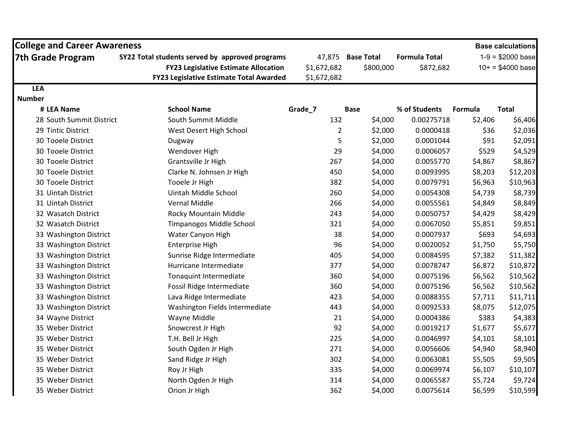| <b>College and Career Awareness</b> |                                                 |                |                   |                      |         | <b>Base calculations</b>   |
|-------------------------------------|-------------------------------------------------|----------------|-------------------|----------------------|---------|----------------------------|
| <b>7th Grade Program</b>            | SY22 Total students served by approved programs | 47,875         | <b>Base Total</b> | <b>Formula Total</b> |         | $1-9 = $2000 \text{ base}$ |
|                                     | <b>FY23 Legislative Estimate Allocation</b>     | \$1,672,682    | \$800,000         | \$872,682            |         | $10+ = $4000 \text{ base}$ |
|                                     | <b>FY23 Legislative Estimate Total Awarded</b>  | \$1,672,682    |                   |                      |         |                            |
| <b>LEA</b>                          |                                                 |                |                   |                      |         |                            |
| <b>Number</b>                       |                                                 |                |                   |                      |         |                            |
| # LEA Name                          | <b>School Name</b>                              | Grade_7        | <b>Base</b>       | % of Students        | Formula | <b>Total</b>               |
| 28 South Summit District            | South Summit Middle                             | 132            | \$4,000           | 0.00275718           | \$2,406 | \$6,406                    |
| 29 Tintic District                  | West Desert High School                         | $\overline{2}$ | \$2,000           | 0.0000418            | \$36    | \$2,036                    |
| 30 Tooele District                  | Dugway                                          | 5              | \$2,000           | 0.0001044            | \$91    | \$2,091                    |
| 30 Tooele District                  | Wendover High                                   | 29             | \$4,000           | 0.0006057            | \$529   | \$4,529                    |
| 30 Tooele District                  | Grantsville Jr High                             | 267            | \$4,000           | 0.0055770            | \$4,867 | \$8,867                    |
| 30 Tooele District                  | Clarke N. Johnsen Jr High                       | 450            | \$4,000           | 0.0093995            | \$8,203 | \$12,203                   |
| 30 Tooele District                  | Tooele Jr High                                  | 382            | \$4,000           | 0.0079791            | \$6,963 | \$10,963                   |
| 31 Uintah District                  | Uintah Middle School                            | 260            | \$4,000           | 0.0054308            | \$4,739 | \$8,739                    |
| 31 Uintah District                  | <b>Vernal Middle</b>                            | 266            | \$4,000           | 0.0055561            | \$4,849 | \$8,849                    |
| 32 Wasatch District                 | Rocky Mountain Middle                           | 243            | \$4,000           | 0.0050757            | \$4,429 | \$8,429                    |
| 32 Wasatch District                 | <b>Timpanogos Middle School</b>                 | 321            | \$4,000           | 0.0067050            | \$5,851 | \$9,851                    |
| 33 Washington District              | Water Canyon High                               | 38             | \$4,000           | 0.0007937            | \$693   | \$4,693                    |
| 33 Washington District              | <b>Enterprise High</b>                          | 96             | \$4,000           | 0.0020052            | \$1,750 | \$5,750                    |
| 33 Washington District              | Sunrise Ridge Intermediate                      | 405            | \$4,000           | 0.0084595            | \$7,382 | \$11,382                   |
| 33 Washington District              | Hurricane Intermediate                          | 377            | \$4,000           | 0.0078747            | \$6,872 | \$10,872                   |
| 33 Washington District              | Tonaquint Intermediate                          | 360            | \$4,000           | 0.0075196            | \$6,562 | \$10,562                   |
| 33 Washington District              | Fossil Ridge Intermediate                       | 360            | \$4,000           | 0.0075196            | \$6,562 | \$10,562                   |
| 33 Washington District              | Lava Ridge Intermediate                         | 423            | \$4,000           | 0.0088355            | \$7,711 | \$11,711                   |
| 33 Washington District              | Washington Fields Intermediate                  | 443            | \$4,000           | 0.0092533            | \$8,075 | \$12,075                   |
| 34 Wayne District                   | Wayne Middle                                    | 21             | \$4,000           | 0.0004386            | \$383   | \$4,383                    |
| 35 Weber District                   | Snowcrest Jr High                               | 92             | \$4,000           | 0.0019217            | \$1,677 | \$5,677                    |
| 35 Weber District                   | T.H. Bell Jr High                               | 225            | \$4,000           | 0.0046997            | \$4,101 | \$8,101                    |
| 35 Weber District                   | South Ogden Jr High                             | 271            | \$4,000           | 0.0056606            | \$4,940 | \$8,940                    |
| 35 Weber District                   | Sand Ridge Jr High                              | 302            | \$4,000           | 0.0063081            | \$5,505 | \$9,505                    |
| 35 Weber District                   | Roy Jr High                                     | 335            | \$4,000           | 0.0069974            | \$6,107 | \$10,107                   |
| 35 Weber District                   | North Ogden Jr High                             | 314            | \$4,000           | 0.0065587            | \$5,724 | \$9,724                    |
| 35 Weber District                   | Orion Jr High                                   | 362            | \$4,000           | 0.0075614            | \$6,599 | \$10,599                   |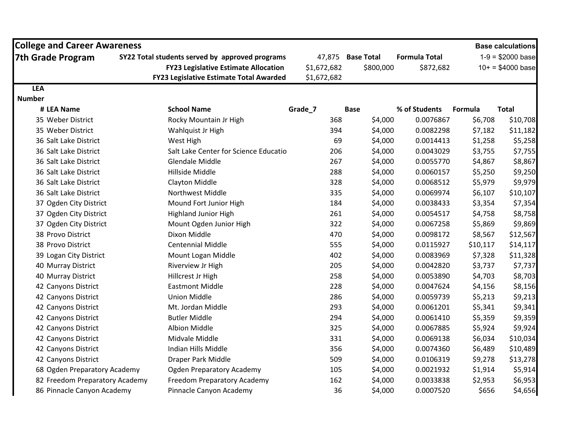| <b>College and Career Awareness</b> |                                                                                                |             |                                |                                   |          | <b>Base calculations</b>                                 |
|-------------------------------------|------------------------------------------------------------------------------------------------|-------------|--------------------------------|-----------------------------------|----------|----------------------------------------------------------|
| <b>7th Grade Program</b>            | SY22 Total students served by approved programs<br><b>FY23 Legislative Estimate Allocation</b> | \$1,672,682 | 47,875 Base Total<br>\$800,000 | <b>Formula Total</b><br>\$872,682 |          | $1-9 = $2000 \text{ base}$<br>$10+ = $4000 \text{ base}$ |
|                                     | <b>FY23 Legislative Estimate Total Awarded</b>                                                 | \$1,672,682 |                                |                                   |          |                                                          |
| <b>LEA</b>                          |                                                                                                |             |                                |                                   |          |                                                          |
| <b>Number</b>                       |                                                                                                |             |                                |                                   |          |                                                          |
| # LEA Name                          | <b>School Name</b>                                                                             | Grade_7     | <b>Base</b>                    | % of Students                     | Formula  | <b>Total</b>                                             |
| 35 Weber District                   | Rocky Mountain Jr High                                                                         | 368         | \$4,000                        | 0.0076867                         | \$6,708  | \$10,708                                                 |
| 35 Weber District                   | Wahlquist Jr High                                                                              | 394         | \$4,000                        | 0.0082298                         | \$7,182  | \$11,182                                                 |
| 36 Salt Lake District               | West High                                                                                      | 69          | \$4,000                        | 0.0014413                         | \$1,258  | \$5,258                                                  |
| 36 Salt Lake District               | Salt Lake Center for Science Educatio                                                          | 206         | \$4,000                        | 0.0043029                         | \$3,755  | \$7,755                                                  |
| 36 Salt Lake District               | <b>Glendale Middle</b>                                                                         | 267         | \$4,000                        | 0.0055770                         | \$4,867  | \$8,867                                                  |
| 36 Salt Lake District               | Hillside Middle                                                                                | 288         | \$4,000                        | 0.0060157                         | \$5,250  | \$9,250                                                  |
| 36 Salt Lake District               | <b>Clayton Middle</b>                                                                          | 328         | \$4,000                        | 0.0068512                         | \$5,979  | \$9,979                                                  |
| 36 Salt Lake District               | Northwest Middle                                                                               | 335         | \$4,000                        | 0.0069974                         | \$6,107  | \$10,107                                                 |
| 37 Ogden City District              | Mound Fort Junior High                                                                         | 184         | \$4,000                        | 0.0038433                         | \$3,354  | \$7,354                                                  |
| 37 Ogden City District              | <b>Highland Junior High</b>                                                                    | 261         | \$4,000                        | 0.0054517                         | \$4,758  | \$8,758                                                  |
| 37 Ogden City District              | Mount Ogden Junior High                                                                        | 322         | \$4,000                        | 0.0067258                         | \$5,869  | \$9,869                                                  |
| 38 Provo District                   | Dixon Middle                                                                                   | 470         | \$4,000                        | 0.0098172                         | \$8,567  | \$12,567                                                 |
| 38 Provo District                   | <b>Centennial Middle</b>                                                                       | 555         | \$4,000                        | 0.0115927                         | \$10,117 | \$14,117                                                 |
| 39 Logan City District              | Mount Logan Middle                                                                             | 402         | \$4,000                        | 0.0083969                         | \$7,328  | \$11,328                                                 |
| 40 Murray District                  | Riverview Jr High                                                                              | 205         | \$4,000                        | 0.0042820                         | \$3,737  | \$7,737                                                  |
| 40 Murray District                  | Hillcrest Jr High                                                                              | 258         | \$4,000                        | 0.0053890                         | \$4,703  | \$8,703                                                  |
| 42 Canyons District                 | <b>Eastmont Middle</b>                                                                         | 228         | \$4,000                        | 0.0047624                         | \$4,156  | \$8,156                                                  |
| 42 Canyons District                 | <b>Union Middle</b>                                                                            | 286         | \$4,000                        | 0.0059739                         | \$5,213  | \$9,213                                                  |
| 42 Canyons District                 | Mt. Jordan Middle                                                                              | 293         | \$4,000                        | 0.0061201                         | \$5,341  | \$9,341                                                  |
| 42 Canyons District                 | <b>Butler Middle</b>                                                                           | 294         | \$4,000                        | 0.0061410                         | \$5,359  | \$9,359                                                  |
| 42 Canyons District                 | <b>Albion Middle</b>                                                                           | 325         | \$4,000                        | 0.0067885                         | \$5,924  | \$9,924                                                  |
| 42 Canyons District                 | Midvale Middle                                                                                 | 331         | \$4,000                        | 0.0069138                         | \$6,034  | \$10,034                                                 |
| 42 Canyons District                 | Indian Hills Middle                                                                            | 356         | \$4,000                        | 0.0074360                         | \$6,489  | \$10,489                                                 |
| 42 Canyons District                 | Draper Park Middle                                                                             | 509         | \$4,000                        | 0.0106319                         | \$9,278  | \$13,278                                                 |
| 68 Ogden Preparatory Academy        | <b>Ogden Preparatory Academy</b>                                                               | 105         | \$4,000                        | 0.0021932                         | \$1,914  | \$5,914                                                  |
| 82 Freedom Preparatory Academy      | Freedom Preparatory Academy                                                                    | 162         | \$4,000                        | 0.0033838                         | \$2,953  | \$6,953                                                  |
| 86 Pinnacle Canyon Academy          | Pinnacle Canyon Academy                                                                        | 36          | \$4,000                        | 0.0007520                         | \$656    | \$4,656                                                  |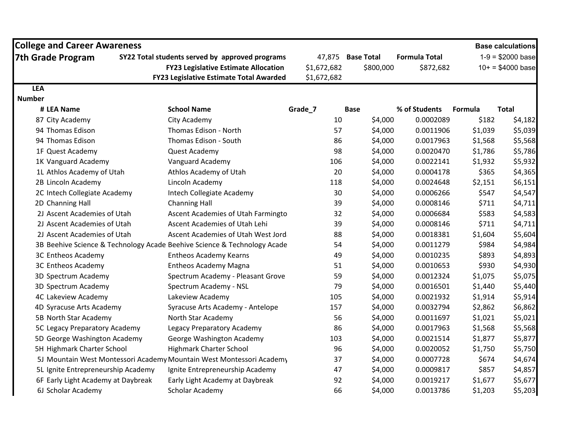| <b>College and Career Awareness</b> |                                                                          |             |                   |                      |         | <b>Base calculations</b>   |
|-------------------------------------|--------------------------------------------------------------------------|-------------|-------------------|----------------------|---------|----------------------------|
| <b>7th Grade Program</b>            | SY22 Total students served by approved programs                          |             | 47,875 Base Total | <b>Formula Total</b> |         | $1-9 = $2000 \text{ base}$ |
|                                     | <b>FY23 Legislative Estimate Allocation</b>                              | \$1,672,682 | \$800,000         | \$872,682            |         | $10+ = $4000 \text{ base}$ |
|                                     | <b>FY23 Legislative Estimate Total Awarded</b>                           | \$1,672,682 |                   |                      |         |                            |
| <b>LEA</b>                          |                                                                          |             |                   |                      |         |                            |
| <b>Number</b>                       |                                                                          |             |                   |                      |         |                            |
| # LEA Name                          | <b>School Name</b>                                                       | Grade_7     | <b>Base</b>       | % of Students        | Formula | <b>Total</b>               |
| 87 City Academy                     | City Academy                                                             |             | \$4,000<br>10     | 0.0002089            | \$182   | \$4,182                    |
| 94 Thomas Edison                    | Thomas Edison - North                                                    |             | 57<br>\$4,000     | 0.0011906            | \$1,039 | \$5,039                    |
| 94 Thomas Edison                    | Thomas Edison - South                                                    |             | \$4,000<br>86     | 0.0017963            | \$1,568 | \$5,568                    |
| 1F Quest Academy                    | Quest Academy                                                            |             | 98<br>\$4,000     | 0.0020470            | \$1,786 | \$5,786                    |
| 1K Vanguard Academy                 | Vanguard Academy                                                         | 106         | \$4,000           | 0.0022141            | \$1,932 | \$5,932                    |
| 1L Athlos Academy of Utah           | Athlos Academy of Utah                                                   |             | 20<br>\$4,000     | 0.0004178            | \$365   | \$4,365                    |
| 2B Lincoln Academy                  | Lincoln Academy                                                          | 118         | \$4,000           | 0.0024648            | \$2,151 | \$6,151                    |
| 2C Intech Collegiate Academy        | Intech Collegiate Academy                                                |             | 30<br>\$4,000     | 0.0006266            | \$547   | \$4,547                    |
| 2D Channing Hall                    | <b>Channing Hall</b>                                                     |             | 39<br>\$4,000     | 0.0008146            | \$711   | \$4,711                    |
| 2J Ascent Academies of Utah         | Ascent Academies of Utah Farmingto                                       |             | 32<br>\$4,000     | 0.0006684            | \$583   | \$4,583                    |
| 2J Ascent Academies of Utah         | Ascent Academies of Utah Lehi                                            |             | 39<br>\$4,000     | 0.0008146            | \$711   | \$4,711                    |
| 2J Ascent Academies of Utah         | Ascent Academies of Utah West Jord                                       |             | \$4,000<br>88     | 0.0018381            | \$1,604 | \$5,604                    |
|                                     | 3B Beehive Science & Technology Acade Beehive Science & Technology Acade |             | \$4,000<br>54     | 0.0011279            | \$984   | \$4,984                    |
| 3C Entheos Academy                  | <b>Entheos Academy Kearns</b>                                            |             | 49<br>\$4,000     | 0.0010235            | \$893   | \$4,893                    |
| 3C Entheos Academy                  | <b>Entheos Academy Magna</b>                                             |             | \$4,000<br>51     | 0.0010653            | \$930   | \$4,930                    |
| 3D Spectrum Academy                 | Spectrum Academy - Pleasant Grove                                        |             | 59<br>\$4,000     | 0.0012324            | \$1,075 | \$5,075                    |
| 3D Spectrum Academy                 | Spectrum Academy - NSL                                                   |             | 79<br>\$4,000     | 0.0016501            | \$1,440 | \$5,440                    |
| 4C Lakeview Academy                 | Lakeview Academy                                                         | 105         | \$4,000           | 0.0021932            | \$1,914 | \$5,914                    |
| 4D Syracuse Arts Academy            | Syracuse Arts Academy - Antelope                                         | 157         | \$4,000           | 0.0032794            | \$2,862 | \$6,862                    |
| 5B North Star Academy               | North Star Academy                                                       |             | 56<br>\$4,000     | 0.0011697            | \$1,021 | \$5,021                    |
| 5C Legacy Preparatory Academy       | Legacy Preparatory Academy                                               |             | 86<br>\$4,000     | 0.0017963            | \$1,568 | \$5,568                    |
| 5D George Washington Academy        | George Washington Academy                                                | 103         | \$4,000           | 0.0021514            | \$1,877 | \$5,877                    |
| 5H Highmark Charter School          | <b>Highmark Charter School</b>                                           |             | 96<br>\$4,000     | 0.0020052            | \$1,750 | \$5,750                    |
|                                     | 5J Mountain West Montessori Academy Mountain West Montessori Academy     |             | 37<br>\$4,000     | 0.0007728            | \$674   | \$4,674                    |
| 5L Ignite Entrepreneurship Academy  | Ignite Entrepreneurship Academy                                          |             | 47<br>\$4,000     | 0.0009817            | \$857   | \$4,857                    |
| 6F Early Light Academy at Daybreak  | Early Light Academy at Daybreak                                          |             | 92<br>\$4,000     | 0.0019217            | \$1,677 | \$5,677                    |
| 6J Scholar Academy                  | Scholar Academy                                                          |             | 66<br>\$4,000     | 0.0013786            | \$1,203 | \$5,203                    |